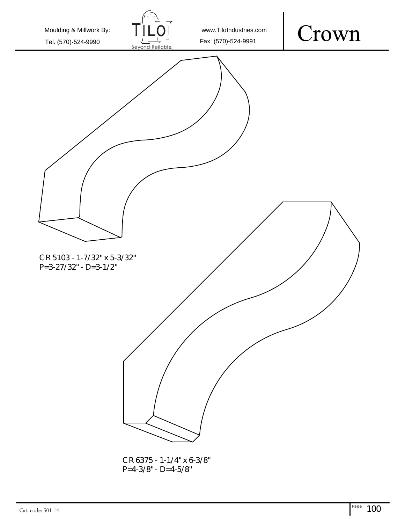

P=4-3/8" - D=4-5/8"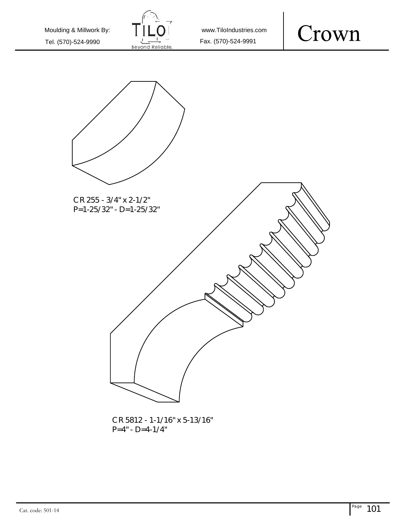

www.TiloIndustries.com





CR 5812 - 1-1/16" x 5-13/16" P=4" - D=4-1/4"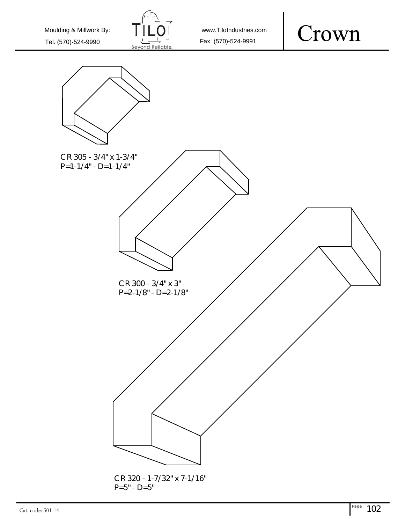

www.TiloIndustries.com



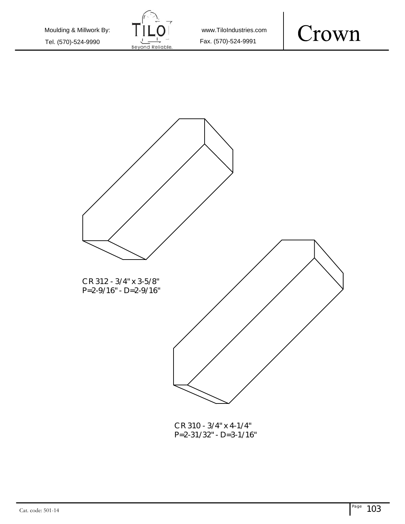

www.TiloIndustries.com





CR 310 - 3/4" x 4-1/4" P=2-31/32" - D=3-1/16"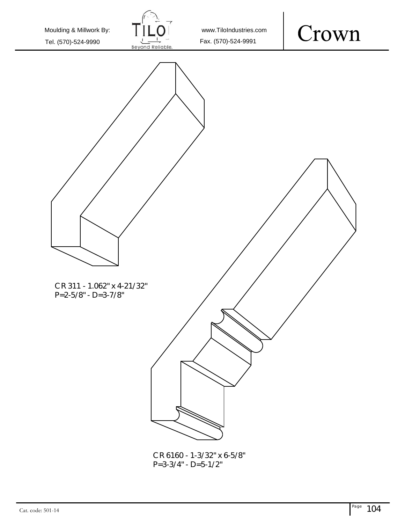

www.TiloIndustries.com

#### Crown



P=3-3/4" - D=5-1/2"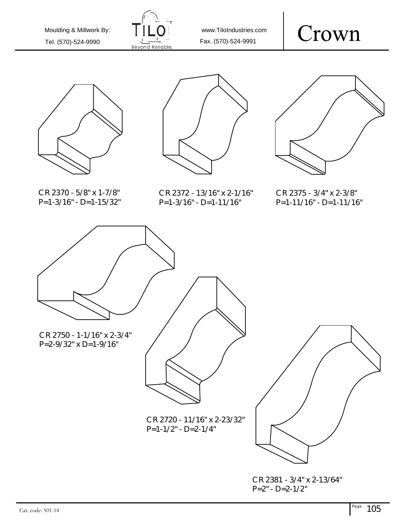

www.TiloIndustries.com

## Crown











CR 2375 - 3/4" x 2-3/8" P=1-11/16" - D=1-11/16"

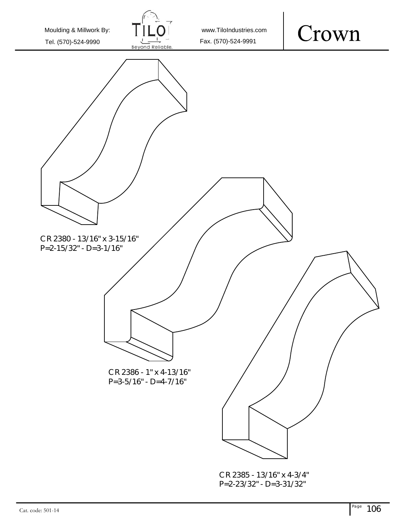Crown Moulding & Millwork By: www.TiloIndustries.com Tel. (570)-524-9990  $\frac{1}{10}$  Fax. (570)-524-9991 CR 2380 - 13/16" x 3-15/16" P=2-15/32" - D=3-1/16" CR 2386 - 1" x 4-13/16" P=3-5/16" - D=4-7/16"

CR 2385 - 13/16" x 4-3/4" P=2-23/32" - D=3-31/32"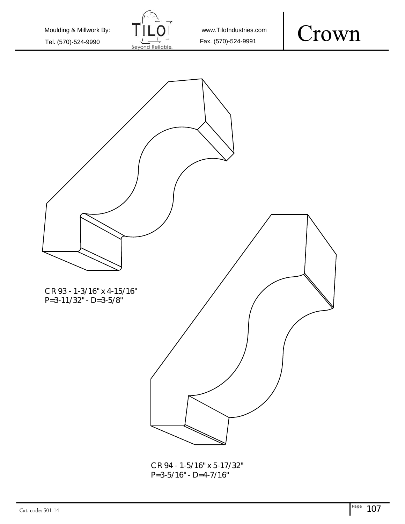

www.TiloIndustries.com





CR 94 - 1-5/16" x 5-17/32" P=3-5/16" - D=4-7/16"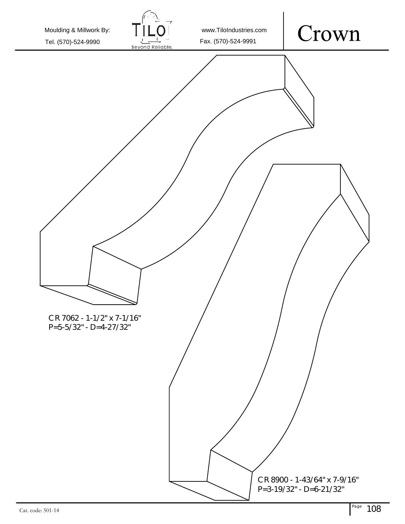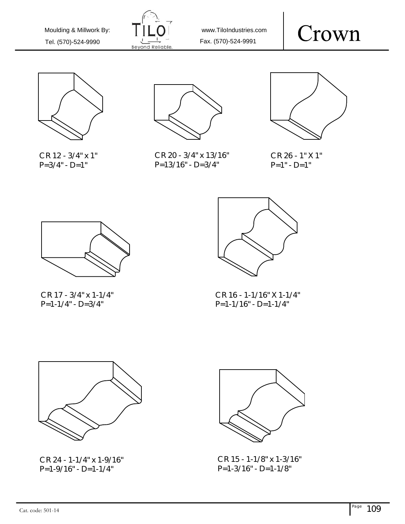

www.TiloIndustries.com

#### Crown



CR 12 - 3/4" x 1"  $P=3/4" - D=1"$ 



CR 20 - 3/4" x 13/16" P=13/16" - D=3/4"



CR 26 - 1" X 1"  $P=1" - D=1"$ 



CR 17 - 3/4" x 1-1/4" P=1-1/4" - D=3/4"



CR 16 - 1-1/16" X 1-1/4" P=1-1/16" - D=1-1/4"



CR 24 - 1-1/4" x 1-9/16" P=1-9/16" - D=1-1/4"



CR 15 - 1-1/8" x 1-3/16" P=1-3/16" - D=1-1/8"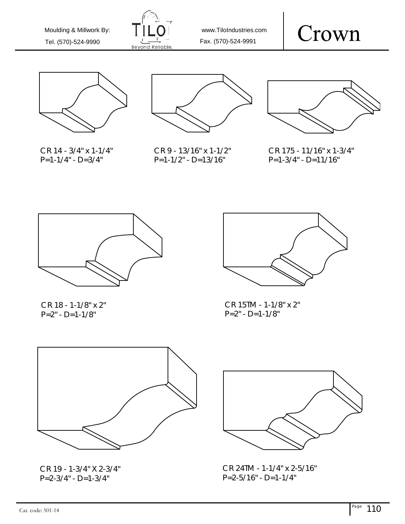

www.TiloIndustries.com

## Crown



CR 14 - 3/4" x 1-1/4"  $P=1-1/4$ " -  $D=3/4$ "



CR 9 - 13/16" x 1-1/2" P=1-1/2" - D=13/16"



CR 175 - 11/16" x 1-3/4" P=1-3/4" - D=11/16"



CR 18 - 1-1/8" x 2"  $P=2" - D=1-1/8"$ 



CR 15TM - 1-1/8" x 2"  $P=2$ " - D=1-1/8"



CR 19 - 1-3/4" X 2-3/4"  $P=2-3/4$ " -  $D=1-3/4$ "



CR 24TM - 1-1/4" x 2-5/16" P=2-5/16" - D=1-1/4"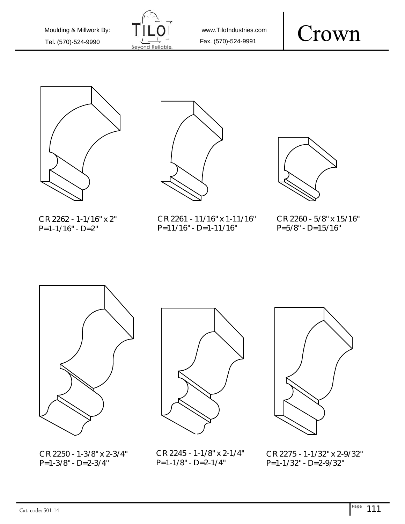

www.TiloIndustries.com





CR 2262 - 1-1/16" x 2"  $P=1-1/16" - D=2"$ 

CR 2261 - 11/16" x 1-11/16" P=11/16" - D=1-11/16"



#### CR 2260 - 5/8" x 15/16"  $P=5/8" - D=15/16"$



CR 2250 - 1-3/8" x 2-3/4" P=1-3/8" - D=2-3/4"





CR 2245 - 1-1/8" x 2-1/4"  $P=1-1/8" - D=2-1/4"$ 

CR 2275 - 1-1/32" x 2-9/32" P=1-1/32" - D=2-9/32"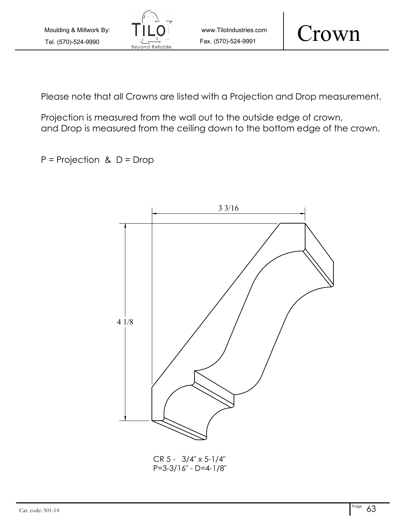

Crown

Please note that all Crowns are listed with a Projection and Drop measurement.

Projection is measured from the wall out to the outside edge of crown, and Drop is measured from the ceiling down to the bottom edge of the crown.

 $P = Projection$  &  $D = Drop$ 



CR 5 - 3/4" x 5-1/4" P=3-3/16" - D=4-1/8"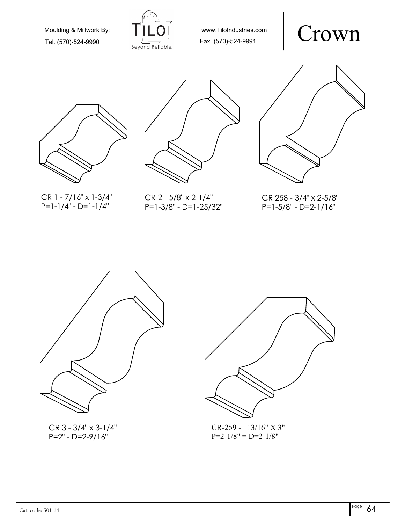

www.TiloIndustries.com









CR 1 - 7/16" x 1-3/4" P=1-1/4" - D=1-1/4"

CR 2 - 5/8" x 2-1/4" P=1-3/8" - D=1-25/32"

CR 258 - 3/4" x 2-5/8" P=1-5/8" - D=2-1/16"



CR 3 - 3/4" x 3-1/4" P=2" - D=2-9/16"



CR-259 - 13/16" X 3"  $P=2-1/8" = D=2-1/8"$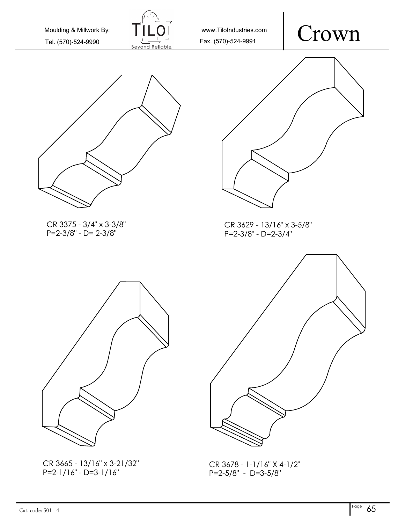

www.TiloIndustries.com





CR 3375 - 3/4" x 3-3/8" P=2-3/8" - D= 2-3/8"



CR 3629 - 13/16" x 3-5/8" P=2-3/8" - D=2-3/4"



CR 3665 - 13/16" x 3-21/32" P=2-1/16" - D=3-1/16"



CR 3678 - 1-1/16" X 4-1/2" P=2-5/8" - D=3-5/8"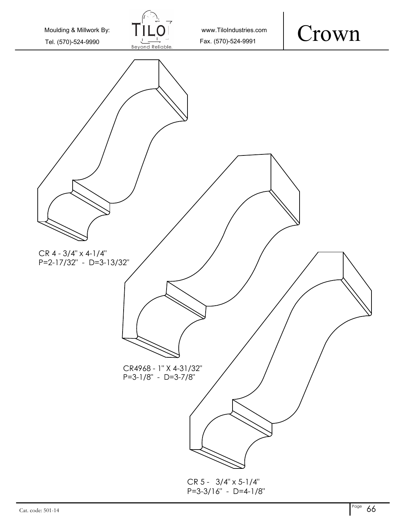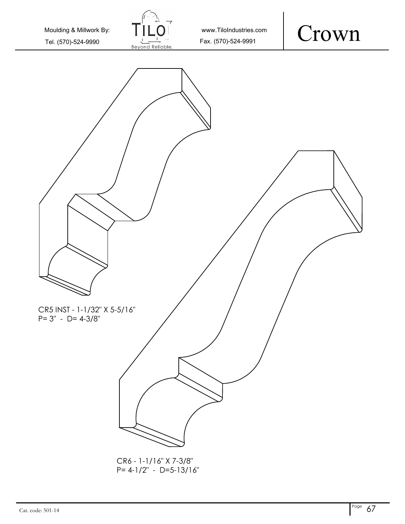

CR6 - 1-1/16" X 7-3/8" P= 4-1/2" - D=5-13/16"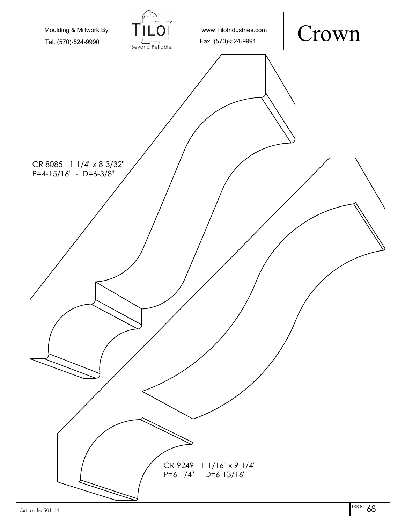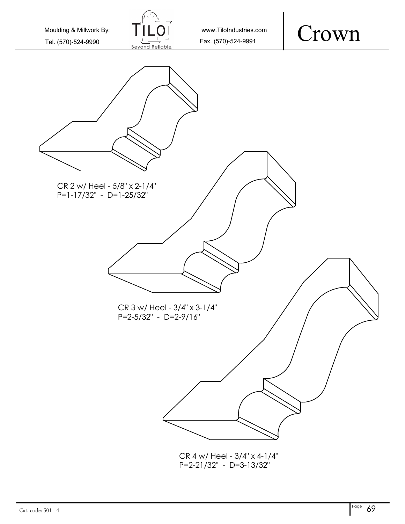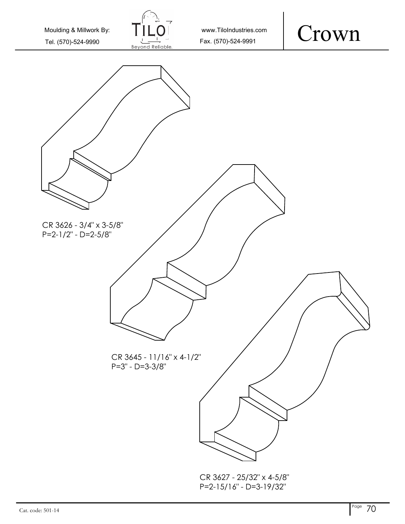

www.TiloIndustries.com

#### Crown



P=2-15/16" - D=3-19/32"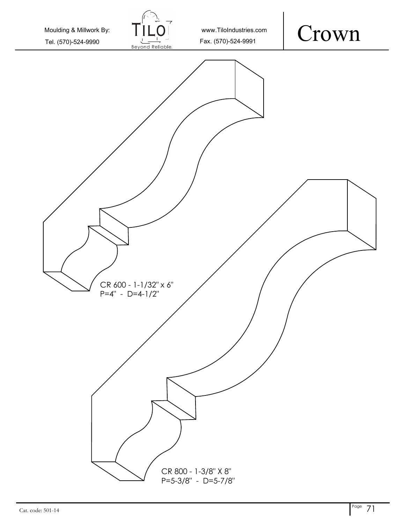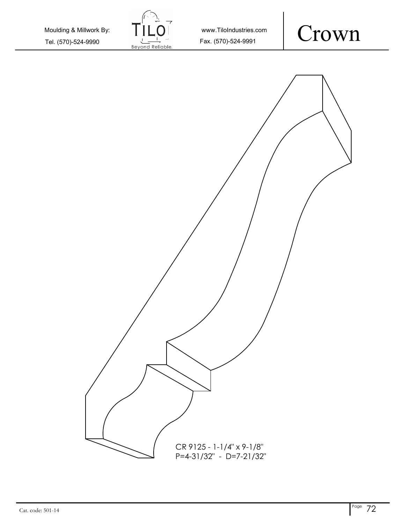Crown www.TiloIndustries.com Tel. (570)-524-9990  $\frac{1}{\frac{1}{1}}$  Tex. (570)-524-9991 Moulding & Millwork By: CR 9125 - 1-1/4" x 9-1/8" P=4-31/32" - D=7-21/32"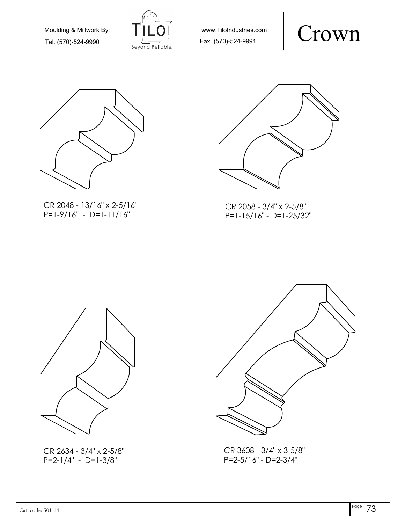

www.TiloIndustries.com





CR 2048 - 13/16" x 2-5/16" P=1-9/16" - D=1-11/16"



CR 2058 - 3/4" x 2-5/8" P=1-15/16" - D=1-25/32"



CR 2634 - 3/4" x 2-5/8"  $P=2-1/4" - D=1-3/8"$ 



CR 3608 - 3/4" x 3-5/8" P=2-5/16" - D=2-3/4"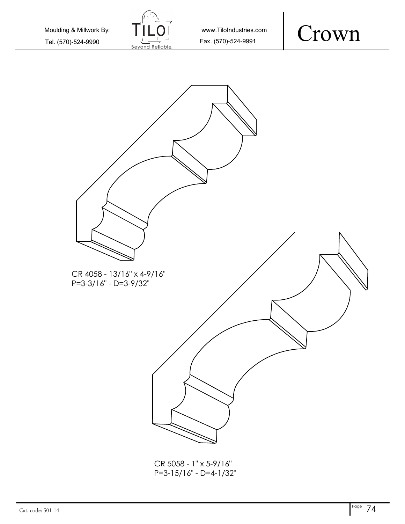

www.TiloIndustries.com





CR 5058 - 1" x 5-9/16" P=3-15/16" - D=4-1/32"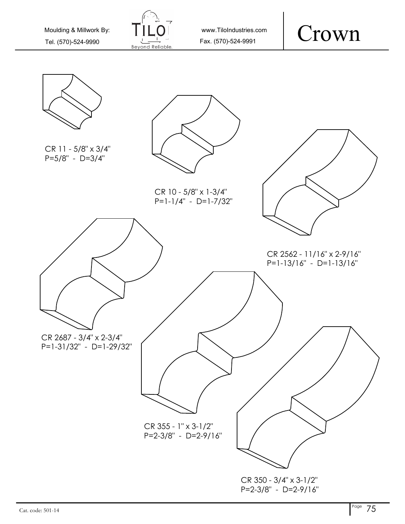

www.TiloIndustries.com

## Crown

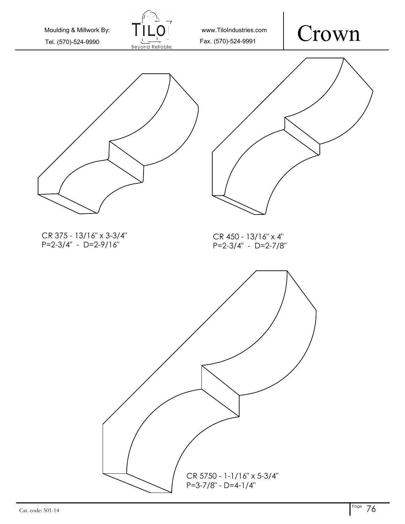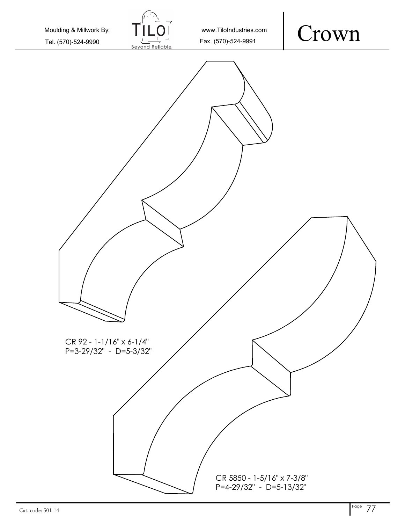Crown www.TiloIndustries.com Tel. (570)-524-9990  $\frac{1}{\frac{1}{1-\frac{1}{1-\frac{1}{1-\frac{1}{1-\frac{1}{1-\frac{1}{1-\frac{1}{1-\frac{1}{1-\frac{1}{1-\frac{1}{1-\frac{1}{1-\frac{1}{1-\frac{1}{1-\frac{1}{1-\frac{1}{1-\frac{1}{1-\frac{1}{1-\frac{1}{1-\frac{1}{1-\frac{1}{1-\frac{1}{1-\frac{1}{1-\frac{1}{1-\frac{1}{1-\frac{1}{1-\frac{1}{1-\frac{1}{1-\frac{1}{1-\frac{1}{1-\frac{1}{1-\frac{1}{1-\frac{1}{1-\frac{$ Moulding & Millwork By: CR 5850 - 1-5/16" x 7-3/8" CR 92 - 1-1/16" x 6-1/4" P=3-29/32" - D=5-3/32"

P=4-29/32" - D=5-13/32"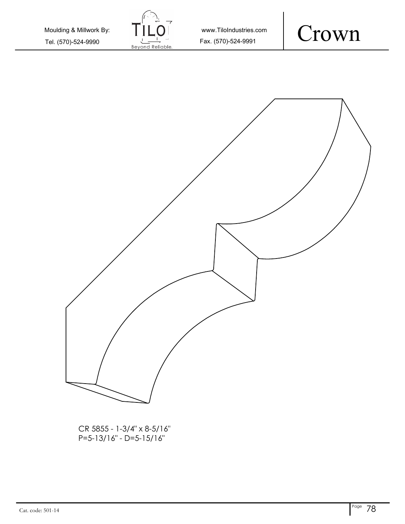

www.TiloIndustries.com





CR 5855 - 1-3/4" x 8-5/16" P=5-13/16" - D=5-15/16"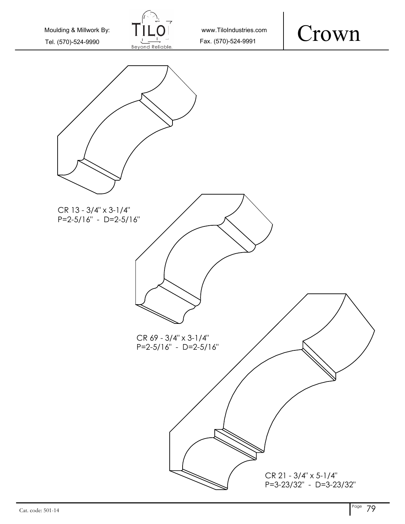



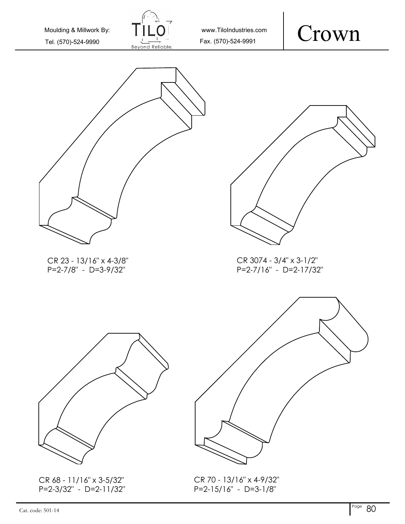

www.TiloIndustries.com

# Crown





CR 3074 - 3/4" x 3-1/2" P=2-7/16" - D=2-17/32"



CR 68 - 11/16" x 3-5/32" P=2-3/32" - D=2-11/32"



CR 70 - 13/16" x 4-9/32" P=2-15/16" - D=3-1/8"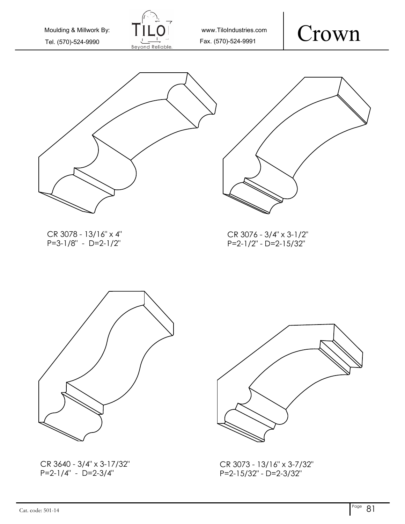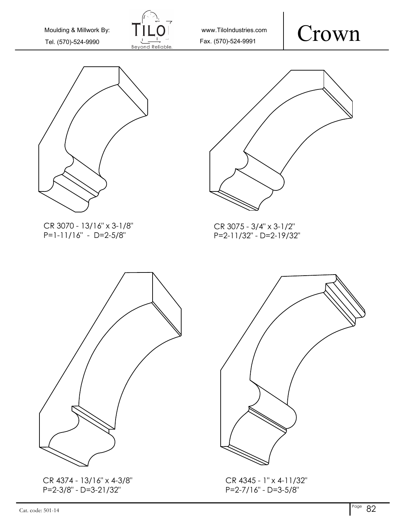

www.TiloIndustries.com





CR 3070 - 13/16" x 3-1/8" P=1-11/16" - D=2-5/8"



CR 3075 - 3/4" x 3-1/2" P=2-11/32" - D=2-19/32"



CR 4374 - 13/16" x 4-3/8" P=2-3/8" - D=3-21/32"



CR 4345 - 1" x 4-11/32" P=2-7/16" - D=3-5/8"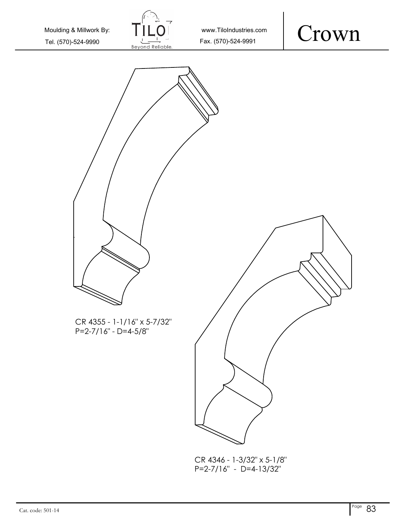

www.TiloIndustries.com





CR 4346 - 1-3/32" x 5-1/8" P=2-7/16" - D=4-13/32"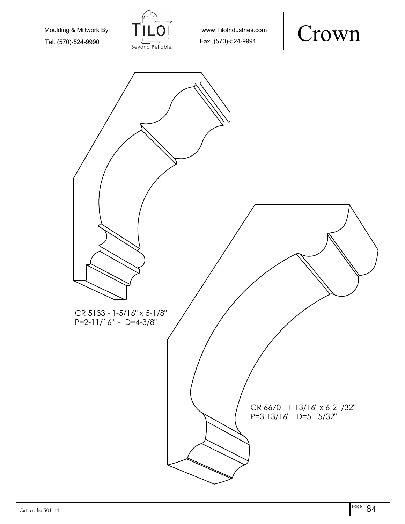

www.TiloIndustries.com



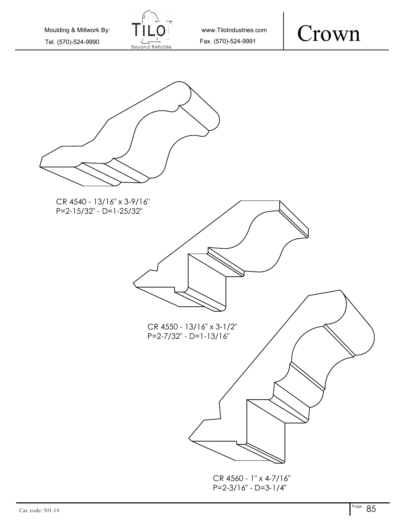| Moulding & Millwork By: |
|-------------------------|
| Tel. (570)-524-9990     |







P=2-3/16" - D=3-1/4"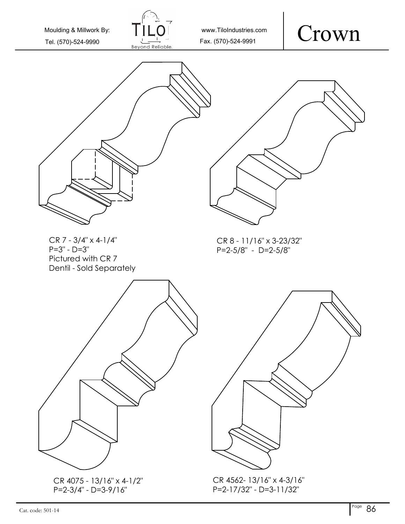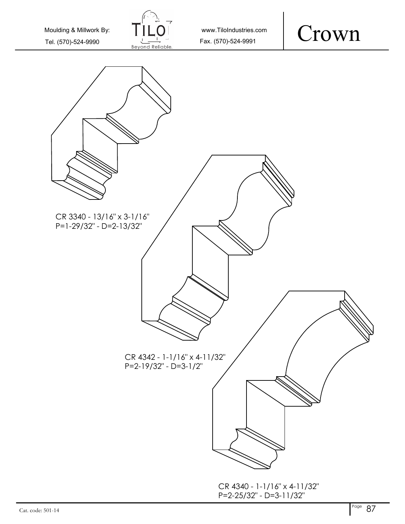

www.TiloIndustries.com

### Crown

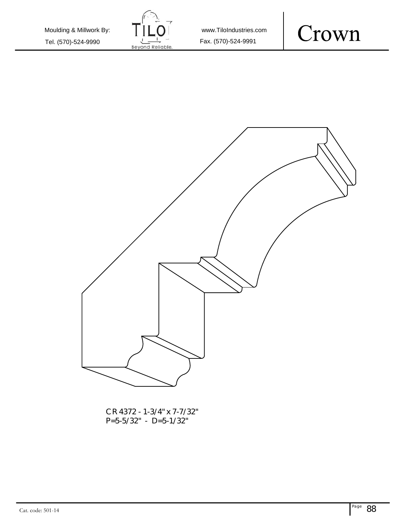Tel. (570)-524-9990  $\frac{1}{\text{Beyond}$  Fax. (570)-524-9991 Moulding & Millwork By:



www.TiloIndustries.com



CR 4372 - 1-3/4" x 7-7/32" P=5-5/32" - D=5-1/32"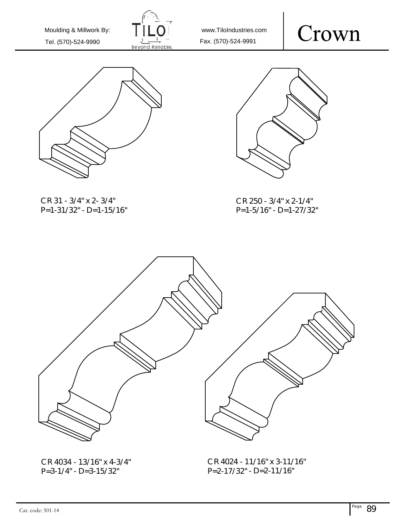

www.TiloIndustries.com

#### Crown



CR 31 - 3/4" x 2- 3/4" P=1-31/32" - D=1-15/16"



CR 250 - 3/4" x 2-1/4" P=1-5/16" - D=1-27/32"



CR 4034 - 13/16" <sup>x</sup> 4-3/4" P=3-1/4" - D=3-15/32"

CR 4024 - 11/16" <sup>x</sup> 3-11/16" P=2-17/32" - D=2-11/16"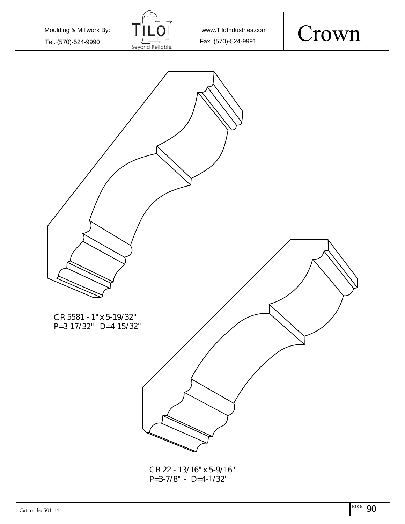

www.TiloIndustries.com





CR 22 - 13/16" <sup>x</sup> 5-9/16" P=3-7/8" - D=4-1/32"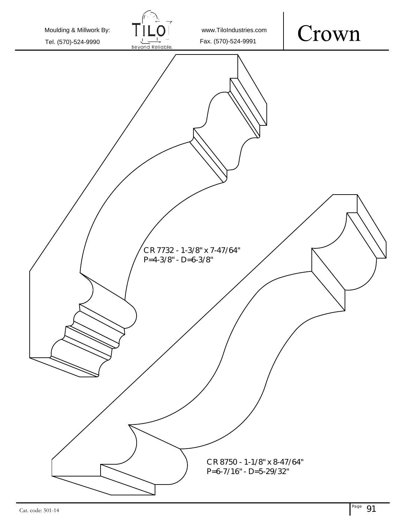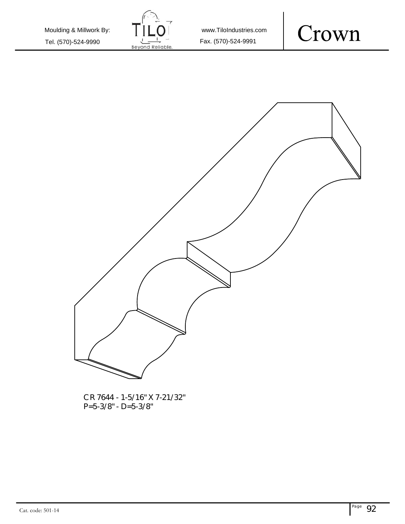Tel. (570)-524-9990  $\frac{1}{\text{Beyond}$  Fax. (570)-524-9991 Moulding & Millwork By:



www.TiloIndustries.com





CR 7644 - 1-5/16" X 7-21/32" P=5-3/8" - D=5-3/8"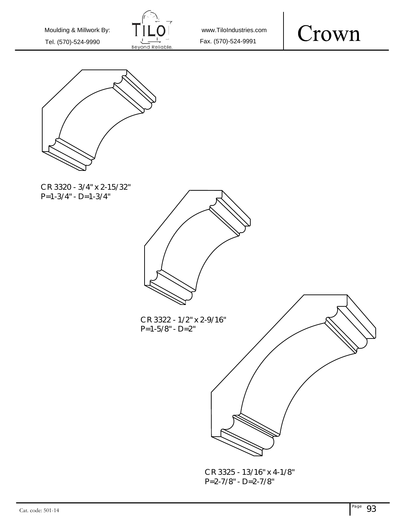





CR 3320 - 3/4" x 2-15/32"  $P=1-3/4" - D=1-3/4"$ 



CR 3322 - 1/2" x 2-9/16" P=1-5/8" - D=2"



CR 3325 - 13/16" x 4-1/8" P=2-7/8" - D=2-7/8"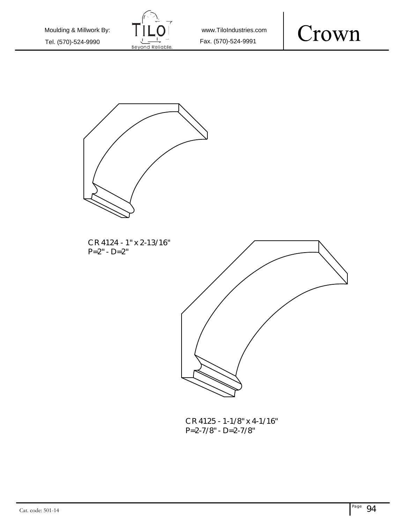





CR 4124 - 1" x 2-13/16"  $P=2" - D=2"$ 



CR 4125 - 1-1/8" x 4-1/16" P=2-7/8" - D=2-7/8"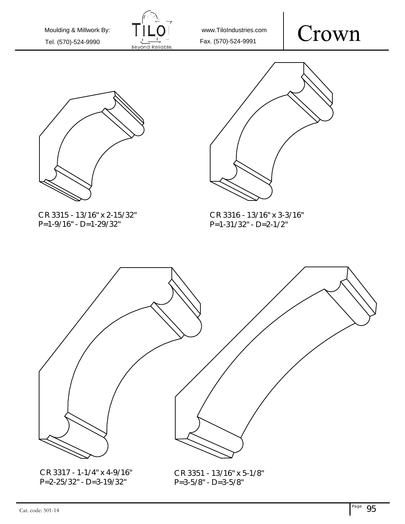

www.TiloIndustries.com





CR 3315 - 13/16" x 2-15/32" P=1-9/16" - D=1-29/32"



CR 3316 - 13/16" x 3-3/16" P=1-31/32" - D=2-1/2"



CR 3317 - 1-1/4" x 4-9/16" P=2-25/32" - D=3-19/32"

CR 3351 - 13/16" x 5-1/8" P=3-5/8" - D=3-5/8"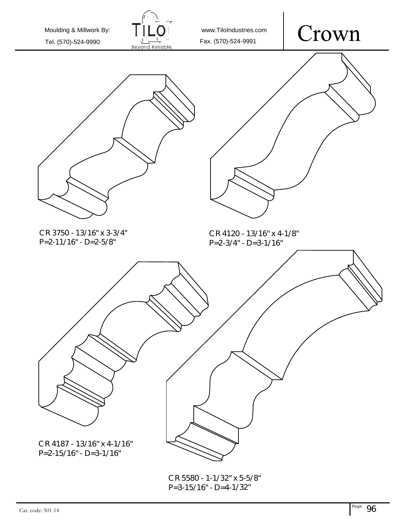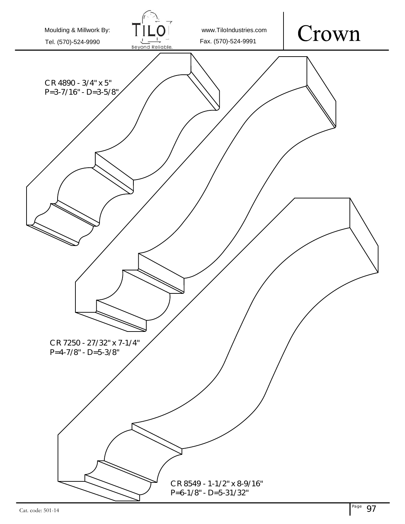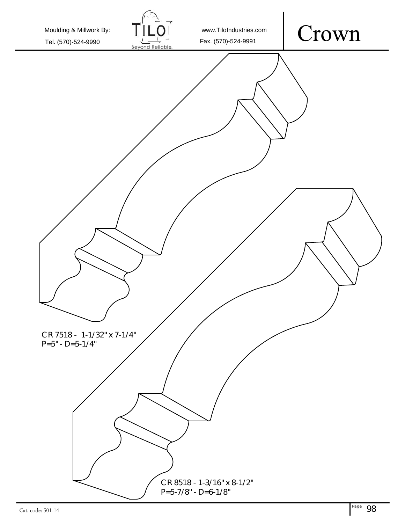